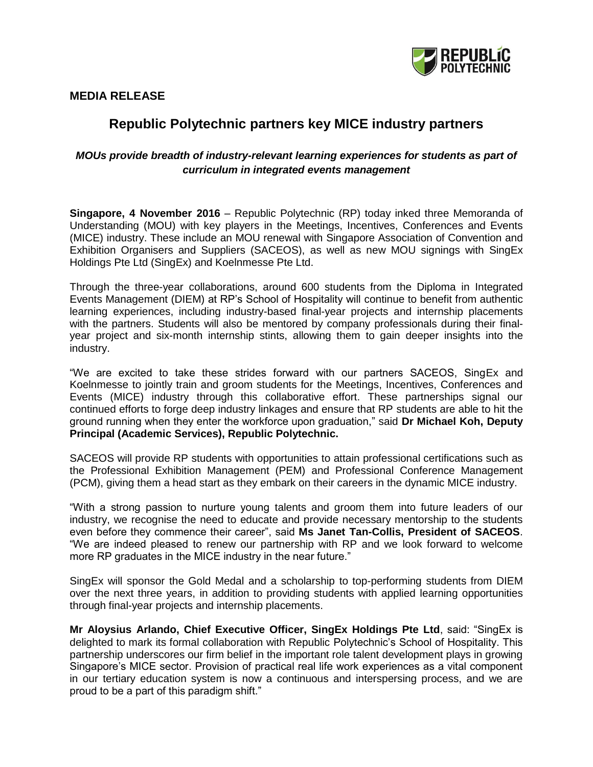

**MEDIA RELEASE**

## **Republic Polytechnic partners key MICE industry partners**

## *MOUs provide breadth of industry-relevant learning experiences for students as part of curriculum in integrated events management*

**Singapore, 4 November 2016** – Republic Polytechnic (RP) today inked three Memoranda of Understanding (MOU) with key players in the Meetings, Incentives, Conferences and Events (MICE) industry. These include an MOU renewal with Singapore Association of Convention and Exhibition Organisers and Suppliers (SACEOS), as well as new MOU signings with SingEx Holdings Pte Ltd (SingEx) and Koelnmesse Pte Ltd.

Through the three-year collaborations, around 600 students from the Diploma in Integrated Events Management (DIEM) at RP's School of Hospitality will continue to benefit from authentic learning experiences, including industry-based final-year projects and internship placements with the partners. Students will also be mentored by company professionals during their finalyear project and six-month internship stints, allowing them to gain deeper insights into the industry.

"We are excited to take these strides forward with our partners SACEOS, SingEx and Koelnmesse to jointly train and groom students for the Meetings, Incentives, Conferences and Events (MICE) industry through this collaborative effort. These partnerships signal our continued efforts to forge deep industry linkages and ensure that RP students are able to hit the ground running when they enter the workforce upon graduation," said **Dr Michael Koh, Deputy Principal (Academic Services), Republic Polytechnic.** 

SACEOS will provide RP students with opportunities to attain professional certifications such as the Professional Exhibition Management (PEM) and Professional Conference Management (PCM), giving them a head start as they embark on their careers in the dynamic MICE industry.

"With a strong passion to nurture young talents and groom them into future leaders of our industry, we recognise the need to educate and provide necessary mentorship to the students even before they commence their career", said **Ms Janet Tan-Collis, President of SACEOS**. "We are indeed pleased to renew our partnership with RP and we look forward to welcome more RP graduates in the MICE industry in the near future."

SingEx will sponsor the Gold Medal and a scholarship to top-performing students from DIEM over the next three years, in addition to providing students with applied learning opportunities through final-year projects and internship placements.

**Mr Aloysius Arlando, Chief Executive Officer, SingEx Holdings Pte Ltd**, said: "SingEx is delighted to mark its formal collaboration with Republic Polytechnic's School of Hospitality. This partnership underscores our firm belief in the important role talent development plays in growing Singapore's MICE sector. Provision of practical real life work experiences as a vital component in our tertiary education system is now a continuous and interspersing process, and we are proud to be a part of this paradigm shift."